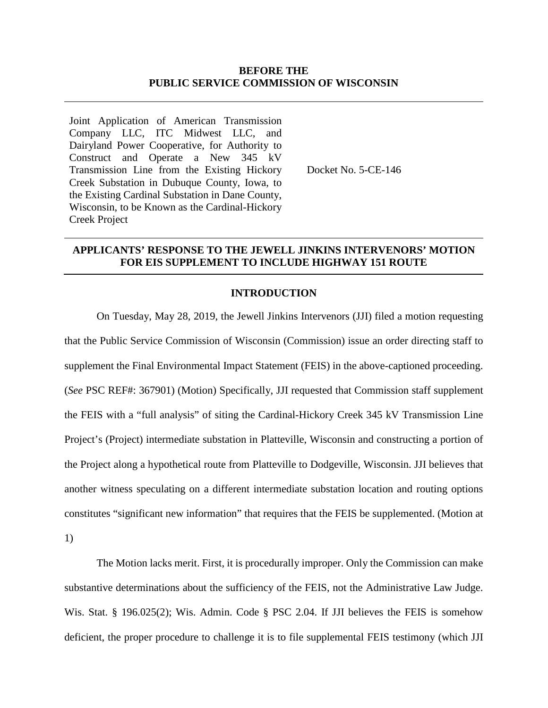## **BEFORE THE PUBLIC SERVICE COMMISSION OF WISCONSIN**

Joint Application of American Transmission Company LLC, ITC Midwest LLC, and Dairyland Power Cooperative, for Authority to Construct and Operate a New 345 kV Transmission Line from the Existing Hickory Creek Substation in Dubuque County, Iowa, to the Existing Cardinal Substation in Dane County, Wisconsin, to be Known as the Cardinal-Hickory Creek Project

Docket No. 5-CE-146

## **APPLICANTS' RESPONSE TO THE JEWELL JINKINS INTERVENORS' MOTION FOR EIS SUPPLEMENT TO INCLUDE HIGHWAY 151 ROUTE**

#### **INTRODUCTION**

On Tuesday, May 28, 2019, the Jewell Jinkins Intervenors (JJI) filed a motion requesting that the Public Service Commission of Wisconsin (Commission) issue an order directing staff to supplement the Final Environmental Impact Statement (FEIS) in the above-captioned proceeding. (*See* PSC REF#: 367901) (Motion) Specifically, JJI requested that Commission staff supplement the FEIS with a "full analysis" of siting the Cardinal-Hickory Creek 345 kV Transmission Line Project's (Project) intermediate substation in Platteville, Wisconsin and constructing a portion of the Project along a hypothetical route from Platteville to Dodgeville, Wisconsin. JJI believes that another witness speculating on a different intermediate substation location and routing options constitutes "significant new information" that requires that the FEIS be supplemented. (Motion at 1)

The Motion lacks merit. First, it is procedurally improper. Only the Commission can make substantive determinations about the sufficiency of the FEIS, not the Administrative Law Judge. Wis. Stat. § 196.025(2); Wis. Admin. Code § PSC 2.04. If JJI believes the FEIS is somehow deficient, the proper procedure to challenge it is to file supplemental FEIS testimony (which JJI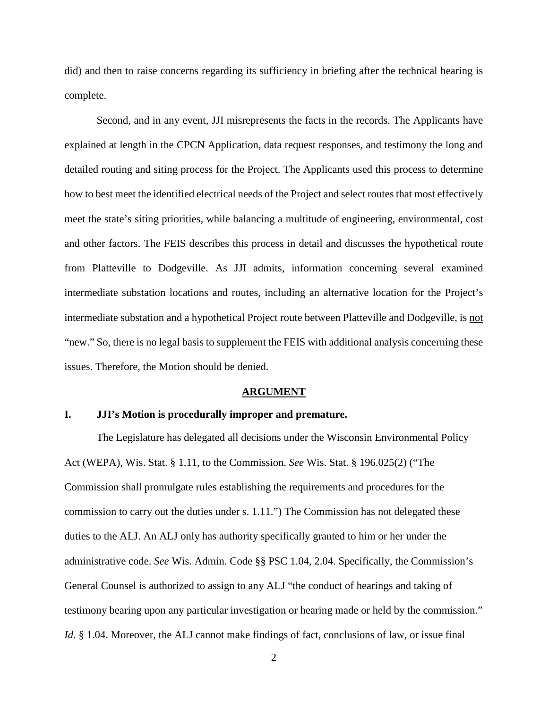did) and then to raise concerns regarding its sufficiency in briefing after the technical hearing is complete.

Second, and in any event, JJI misrepresents the facts in the records. The Applicants have explained at length in the CPCN Application, data request responses, and testimony the long and detailed routing and siting process for the Project. The Applicants used this process to determine how to best meet the identified electrical needs of the Project and select routes that most effectively meet the state's siting priorities, while balancing a multitude of engineering, environmental, cost and other factors. The FEIS describes this process in detail and discusses the hypothetical route from Platteville to Dodgeville. As JJI admits, information concerning several examined intermediate substation locations and routes, including an alternative location for the Project's intermediate substation and a hypothetical Project route between Platteville and Dodgeville, is not "new." So, there is no legal basis to supplement the FEIS with additional analysis concerning these issues. Therefore, the Motion should be denied.

#### **ARGUMENT**

## **I. JJI's Motion is procedurally improper and premature.**

The Legislature has delegated all decisions under the Wisconsin Environmental Policy Act (WEPA), Wis. Stat. § 1.11, to the Commission. *See* Wis. Stat. § 196.025(2) ("The Commission shall promulgate rules establishing the requirements and procedures for the commission to carry out the duties under s. 1.11.") The Commission has not delegated these duties to the ALJ. An ALJ only has authority specifically granted to him or her under the administrative code. *See* Wis. Admin. Code §§ PSC 1.04, 2.04. Specifically, the Commission's General Counsel is authorized to assign to any ALJ "the conduct of hearings and taking of testimony bearing upon any particular investigation or hearing made or held by the commission." *Id.* § 1.04. Moreover, the ALJ cannot make findings of fact, conclusions of law, or issue final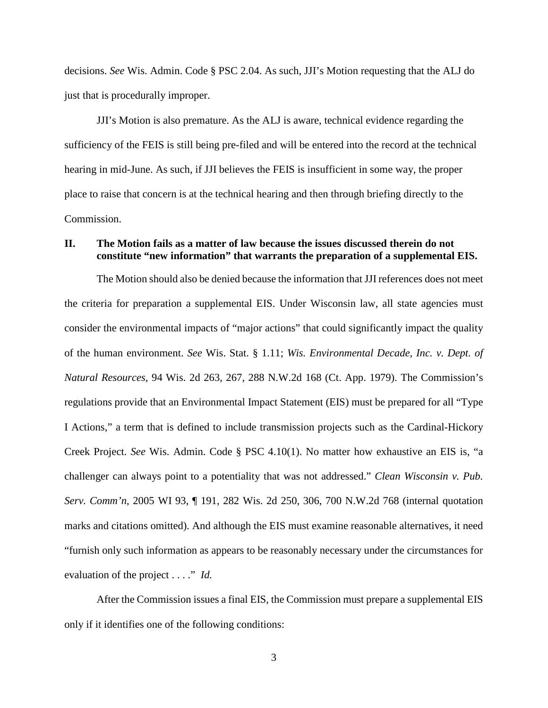decisions. *See* Wis. Admin. Code § PSC 2.04. As such, JJI's Motion requesting that the ALJ do just that is procedurally improper.

JJI's Motion is also premature. As the ALJ is aware, technical evidence regarding the sufficiency of the FEIS is still being pre-filed and will be entered into the record at the technical hearing in mid-June. As such, if JJI believes the FEIS is insufficient in some way, the proper place to raise that concern is at the technical hearing and then through briefing directly to the Commission.

## **II. The Motion fails as a matter of law because the issues discussed therein do not constitute "new information" that warrants the preparation of a supplemental EIS.**

The Motion should also be denied because the information that JJI references does not meet the criteria for preparation a supplemental EIS. Under Wisconsin law, all state agencies must consider the environmental impacts of "major actions" that could significantly impact the quality of the human environment. *See* Wis. Stat. § 1.11; *Wis. Environmental Decade, Inc. v. Dept. of Natural Resources*, 94 Wis. 2d 263, 267, 288 N.W.2d 168 (Ct. App. 1979). The Commission's regulations provide that an Environmental Impact Statement (EIS) must be prepared for all "Type I Actions," a term that is defined to include transmission projects such as the Cardinal-Hickory Creek Project. *See* Wis. Admin. Code § PSC 4.10(1). No matter how exhaustive an EIS is, "a challenger can always point to a potentiality that was not addressed." *Clean Wisconsin v. Pub. Serv. Comm'n*, 2005 WI 93, ¶ 191, 282 Wis. 2d 250, 306, 700 N.W.2d 768 (internal quotation marks and citations omitted). And although the EIS must examine reasonable alternatives, it need "furnish only such information as appears to be reasonably necessary under the circumstances for evaluation of the project . . . ." *Id.*

After the Commission issues a final EIS, the Commission must prepare a supplemental EIS only if it identifies one of the following conditions: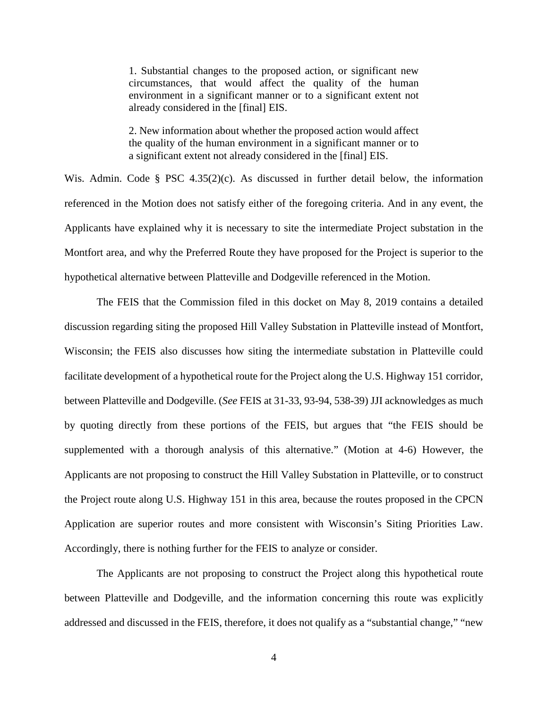1. Substantial changes to the proposed action, or significant new circumstances, that would affect the quality of the human environment in a significant manner or to a significant extent not already considered in the [final] EIS.

2. New information about whether the proposed action would affect the quality of the human environment in a significant manner or to a significant extent not already considered in the [final] EIS.

Wis. Admin. Code § PSC 4.35(2)(c). As discussed in further detail below, the information referenced in the Motion does not satisfy either of the foregoing criteria. And in any event, the Applicants have explained why it is necessary to site the intermediate Project substation in the Montfort area, and why the Preferred Route they have proposed for the Project is superior to the hypothetical alternative between Platteville and Dodgeville referenced in the Motion.

The FEIS that the Commission filed in this docket on May 8, 2019 contains a detailed discussion regarding siting the proposed Hill Valley Substation in Platteville instead of Montfort, Wisconsin; the FEIS also discusses how siting the intermediate substation in Platteville could facilitate development of a hypothetical route for the Project along the U.S. Highway 151 corridor, between Platteville and Dodgeville. (*See* FEIS at 31-33, 93-94, 538-39) JJI acknowledges as much by quoting directly from these portions of the FEIS, but argues that "the FEIS should be supplemented with a thorough analysis of this alternative." (Motion at 4-6) However, the Applicants are not proposing to construct the Hill Valley Substation in Platteville, or to construct the Project route along U.S. Highway 151 in this area, because the routes proposed in the CPCN Application are superior routes and more consistent with Wisconsin's Siting Priorities Law. Accordingly, there is nothing further for the FEIS to analyze or consider.

The Applicants are not proposing to construct the Project along this hypothetical route between Platteville and Dodgeville, and the information concerning this route was explicitly addressed and discussed in the FEIS, therefore, it does not qualify as a "substantial change," "new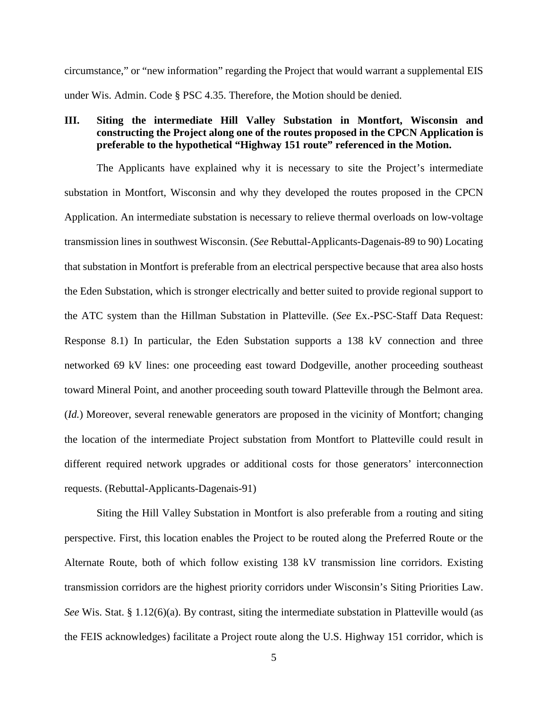circumstance," or "new information" regarding the Project that would warrant a supplemental EIS under Wis. Admin. Code § PSC 4.35. Therefore, the Motion should be denied.

# **III. Siting the intermediate Hill Valley Substation in Montfort, Wisconsin and constructing the Project along one of the routes proposed in the CPCN Application is preferable to the hypothetical "Highway 151 route" referenced in the Motion.**

The Applicants have explained why it is necessary to site the Project's intermediate substation in Montfort, Wisconsin and why they developed the routes proposed in the CPCN Application. An intermediate substation is necessary to relieve thermal overloads on low-voltage transmission lines in southwest Wisconsin. (*See* Rebuttal-Applicants-Dagenais-89 to 90) Locating that substation in Montfort is preferable from an electrical perspective because that area also hosts the Eden Substation, which is stronger electrically and better suited to provide regional support to the ATC system than the Hillman Substation in Platteville. (*See* Ex.-PSC-Staff Data Request: Response 8.1) In particular, the Eden Substation supports a 138 kV connection and three networked 69 kV lines: one proceeding east toward Dodgeville, another proceeding southeast toward Mineral Point, and another proceeding south toward Platteville through the Belmont area. (*Id.*) Moreover, several renewable generators are proposed in the vicinity of Montfort; changing the location of the intermediate Project substation from Montfort to Platteville could result in different required network upgrades or additional costs for those generators' interconnection requests. (Rebuttal-Applicants-Dagenais-91)

Siting the Hill Valley Substation in Montfort is also preferable from a routing and siting perspective. First, this location enables the Project to be routed along the Preferred Route or the Alternate Route, both of which follow existing 138 kV transmission line corridors. Existing transmission corridors are the highest priority corridors under Wisconsin's Siting Priorities Law. *See* Wis. Stat. § 1.12(6)(a). By contrast, siting the intermediate substation in Platteville would (as the FEIS acknowledges) facilitate a Project route along the U.S. Highway 151 corridor, which is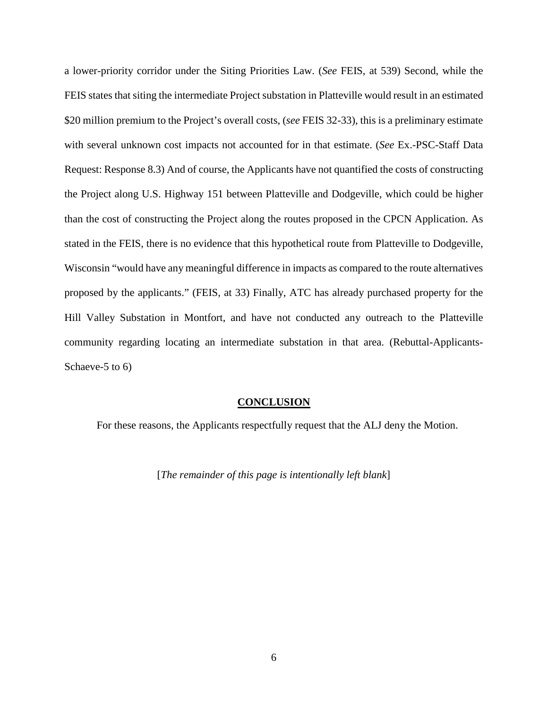a lower-priority corridor under the Siting Priorities Law. (*See* FEIS, at 539) Second, while the FEIS states that siting the intermediate Project substation in Platteville would result in an estimated \$20 million premium to the Project's overall costs, (*see* FEIS 32-33), this is a preliminary estimate with several unknown cost impacts not accounted for in that estimate. (*See* Ex.-PSC-Staff Data Request: Response 8.3) And of course, the Applicants have not quantified the costs of constructing the Project along U.S. Highway 151 between Platteville and Dodgeville, which could be higher than the cost of constructing the Project along the routes proposed in the CPCN Application. As stated in the FEIS, there is no evidence that this hypothetical route from Platteville to Dodgeville, Wisconsin "would have any meaningful difference in impacts as compared to the route alternatives proposed by the applicants." (FEIS, at 33) Finally, ATC has already purchased property for the Hill Valley Substation in Montfort, and have not conducted any outreach to the Platteville community regarding locating an intermediate substation in that area. (Rebuttal-Applicants-Schaeve-5 to 6)

#### **CONCLUSION**

For these reasons, the Applicants respectfully request that the ALJ deny the Motion.

[*The remainder of this page is intentionally left blank*]